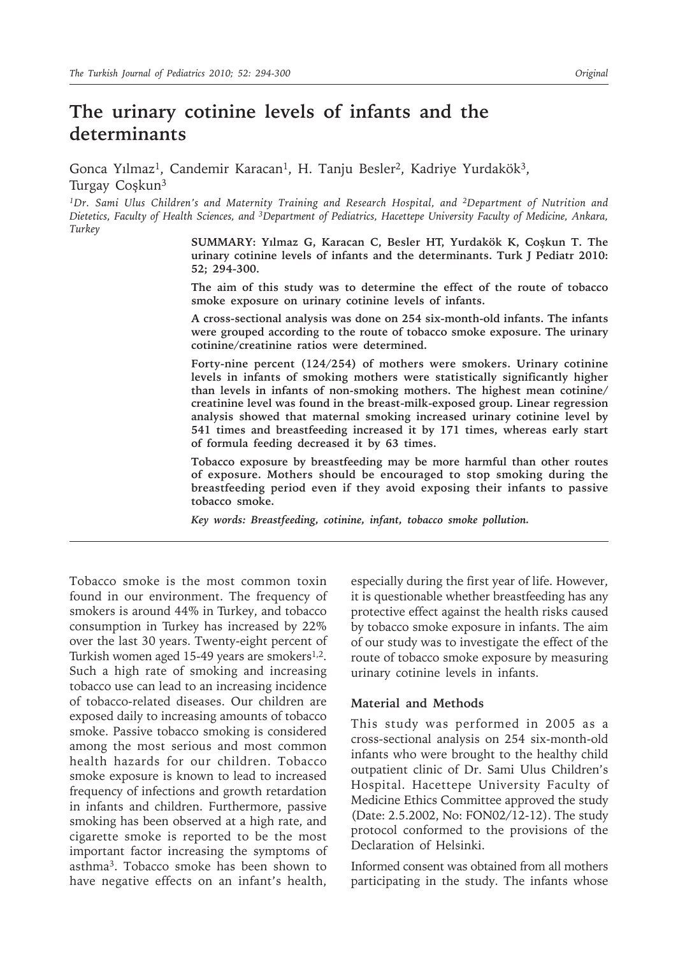# **The urinary cotinine levels of infants and the determinants**

Gonca Yılmaz<sup>1</sup>, Candemir Karacan<sup>1</sup>, H. Tanju Besler<sup>2</sup>, Kadriye Yurdakök<sup>3</sup>, Turgay Coşkun3

*1Dr. Sami Ulus Children's and Maternity Training and Research Hospital, and 2Department of Nutrition and Dietetics, Faculty of Health Sciences, and 3Department of Pediatrics, Hacettepe University Faculty of Medicine, Ankara, Turkey*

> **SUMMARY: Yılmaz G, Karacan C, Besler HT, Yurdakök K, Coşkun T. The urinary cotinine levels of infants and the determinants. Turk J Pediatr 2010: 52; 294-300.**

> **The aim of this study was to determine the effect of the route of tobacco smoke exposure on urinary cotinine levels of infants.**

> **A cross-sectional analysis was done on 254 six-month-old infants. The infants were grouped according to the route of tobacco smoke exposure. The urinary cotinine/creatinine ratios were determined.**

> **Forty-nine percent (124/254) of mothers were smokers. Urinary cotinine levels in infants of smoking mothers were statistically significantly higher than levels in infants of non-smoking mothers. The highest mean cotinine/ creatinine level was found in the breast-milk-exposed group. Linear regression analysis showed that maternal smoking increased urinary cotinine level by 541 times and breastfeeding increased it by 171 times, whereas early start of formula feeding decreased it by 63 times.**

> **Tobacco exposure by breastfeeding may be more harmful than other routes of exposure. Mothers should be encouraged to stop smoking during the breastfeeding period even if they avoid exposing their infants to passive tobacco smoke.**

*Key words: Breastfeeding, cotinine, infant, tobacco smoke pollution.*

Tobacco smoke is the most common toxin found in our environment. The frequency of smokers is around 44% in Turkey, and tobacco consumption in Turkey has increased by 22% over the last 30 years. Twenty-eight percent of Turkish women aged 15-49 years are smokers<sup>1,2</sup>. Such a high rate of smoking and increasing tobacco use can lead to an increasing incidence of tobacco-related diseases. Our children are exposed daily to increasing amounts of tobacco smoke. Passive tobacco smoking is considered among the most serious and most common health hazards for our children. Tobacco smoke exposure is known to lead to increased frequency of infections and growth retardation in infants and children. Furthermore, passive smoking has been observed at a high rate, and cigarette smoke is reported to be the most important factor increasing the symptoms of asthma3. Tobacco smoke has been shown to have negative effects on an infant's health,

especially during the first year of life. However, it is questionable whether breastfeeding has any protective effect against the health risks caused by tobacco smoke exposure in infants. The aim of our study was to investigate the effect of the route of tobacco smoke exposure by measuring urinary cotinine levels in infants.

#### **Material and Methods**

This study was performed in 2005 as a cross-sectional analysis on 254 six-month-old infants who were brought to the healthy child outpatient clinic of Dr. Sami Ulus Children's Hospital. Hacettepe University Faculty of Medicine Ethics Committee approved the study (Date: 2.5.2002, No: FON02/12-12). The study protocol conformed to the provisions of the Declaration of Helsinki.

Informed consent was obtained from all mothers participating in the study. The infants whose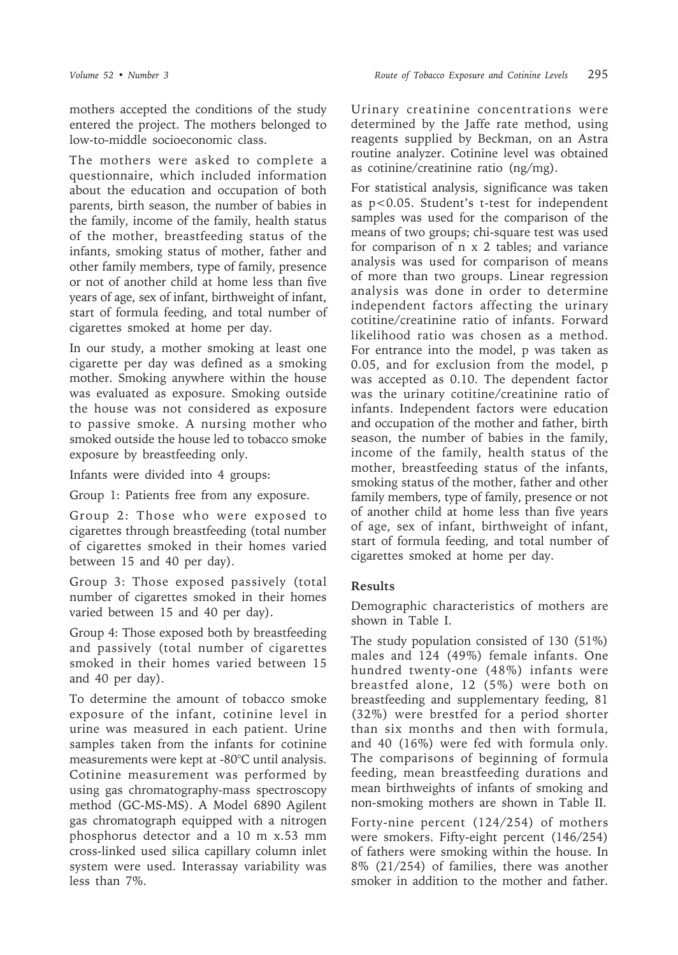mothers accepted the conditions of the study entered the project. The mothers belonged to low-to-middle socioeconomic class.

The mothers were asked to complete a questionnaire, which included information about the education and occupation of both parents, birth season, the number of babies in the family, income of the family, health status of the mother, breastfeeding status of the infants, smoking status of mother, father and other family members, type of family, presence or not of another child at home less than five years of age, sex of infant, birthweight of infant, start of formula feeding, and total number of cigarettes smoked at home per day.

In our study, a mother smoking at least one cigarette per day was defined as a smoking mother. Smoking anywhere within the house was evaluated as exposure. Smoking outside the house was not considered as exposure to passive smoke. A nursing mother who smoked outside the house led to tobacco smoke exposure by breastfeeding only.

Infants were divided into 4 groups:

Group 1: Patients free from any exposure.

Group 2: Those who were exposed to cigarettes through breastfeeding (total number of cigarettes smoked in their homes varied between 15 and 40 per day).

Group 3: Those exposed passively (total number of cigarettes smoked in their homes varied between 15 and 40 per day).

Group 4: Those exposed both by breastfeeding and passively (total number of cigarettes smoked in their homes varied between 15 and 40 per day).

To determine the amount of tobacco smoke exposure of the infant, cotinine level in urine was measured in each patient. Urine samples taken from the infants for cotinine measurements were kept at -80°C until analysis. Cotinine measurement was performed by using gas chromatography-mass spectroscopy method (GC-MS-MS). A Model 6890 Agilent gas chromatograph equipped with a nitrogen phosphorus detector and a 10 m x.53 mm cross-linked used silica capillary column inlet system were used. Interassay variability was less than 7%.

Urinary creatinine concentrations were determined by the Jaffe rate method, using reagents supplied by Beckman, on an Astra routine analyzer. Cotinine level was obtained as cotinine/creatinine ratio (ng/mg).

For statistical analysis, significance was taken as p<0.05. Student's t-test for independent samples was used for the comparison of the means of two groups; chi-square test was used for comparison of n x 2 tables; and variance analysis was used for comparison of means of more than two groups. Linear regression analysis was done in order to determine independent factors affecting the urinary cotitine/creatinine ratio of infants. Forward likelihood ratio was chosen as a method. For entrance into the model, p was taken as 0.05, and for exclusion from the model, p was accepted as 0.10. The dependent factor was the urinary cotitine/creatinine ratio of infants. Independent factors were education and occupation of the mother and father, birth season, the number of babies in the family, income of the family, health status of the mother, breastfeeding status of the infants, smoking status of the mother, father and other family members, type of family, presence or not of another child at home less than five years of age, sex of infant, birthweight of infant, start of formula feeding, and total number of cigarettes smoked at home per day.

## **Results**

Demographic characteristics of mothers are shown in Table I.

The study population consisted of 130 (51%) males and 124 (49%) female infants. One hundred twenty-one (48%) infants were breastfed alone, 12 (5%) were both on breastfeeding and supplementary feeding, 81 (32%) were brestfed for a period shorter than six months and then with formula, and 40 (16%) were fed with formula only. The comparisons of beginning of formula feeding, mean breastfeeding durations and mean birthweights of infants of smoking and non-smoking mothers are shown in Table II.

Forty-nine percent (124/254) of mothers were smokers. Fifty-eight percent (146/254) of fathers were smoking within the house. In 8% (21/254) of families, there was another smoker in addition to the mother and father.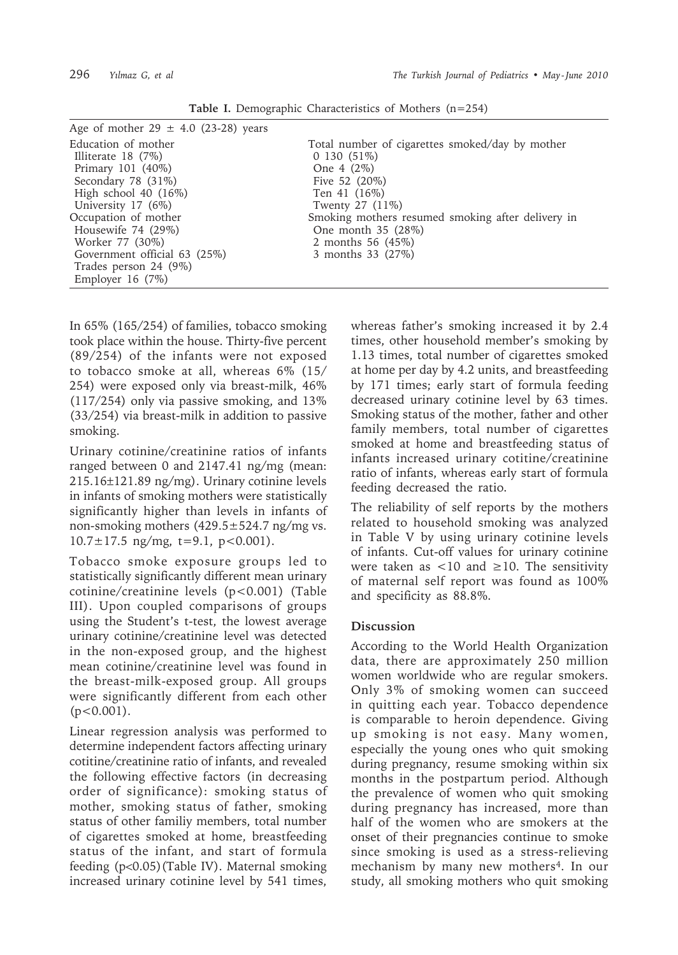| Age of mother $29 \pm 4.0$ (23-28) years                                                                                                                                                                   |                                                                                                                                                                                                                                  |
|------------------------------------------------------------------------------------------------------------------------------------------------------------------------------------------------------------|----------------------------------------------------------------------------------------------------------------------------------------------------------------------------------------------------------------------------------|
| Education of mother<br>Illiterate $18(7\%)$<br>Primary 101 (40%)<br>Secondary 78 (31%)<br>High school $40$ $(16\%)$<br>University 17 (6%)<br>Occupation of mother<br>Housewife 74 (29%)<br>Worker 77 (30%) | Total number of cigarettes smoked/day by mother<br>0130(51%)<br>One $4(2\%)$<br>Five 52 (20%)<br>Ten 41 (16%)<br>Twenty 27 (11%)<br>Smoking mothers resumed smoking after delivery in<br>One month 35 (28%)<br>2 months 56 (45%) |
| Government official 63 (25%)<br>Trades person 24 (9%)<br>Employer 16 $(7%)$                                                                                                                                | 3 months 33 (27%)                                                                                                                                                                                                                |

**Table I.** Demographic Characteristics of Mothers (n=254)

In 65% (165/254) of families, tobacco smoking took place within the house. Thirty-five percent (89/254) of the infants were not exposed to tobacco smoke at all, whereas 6% (15/ 254) were exposed only via breast-milk, 46% (117/254) only via passive smoking, and 13% (33/254) via breast-milk in addition to passive smoking.

Urinary cotinine/creatinine ratios of infants ranged between 0 and 2147.41 ng/mg (mean: 215.16±121.89 ng/mg). Urinary cotinine levels in infants of smoking mothers were statistically significantly higher than levels in infants of non-smoking mothers  $(429.5 \pm 524.7 \text{ ng/mg vs.})$  $10.7 \pm 17.5$  ng/mg, t=9.1, p<0.001).

Tobacco smoke exposure groups led to statistically significantly different mean urinary cotinine/creatinine levels (p<0.001) (Table III). Upon coupled comparisons of groups using the Student's t-test, the lowest average urinary cotinine/creatinine level was detected in the non-exposed group, and the highest mean cotinine/creatinine level was found in the breast-milk-exposed group. All groups were significantly different from each other  $(p<0.001)$ .

Linear regression analysis was performed to determine independent factors affecting urinary cotitine/creatinine ratio of infants, and revealed the following effective factors (in decreasing order of significance): smoking status of mother, smoking status of father, smoking status of other familiy members, total number of cigarettes smoked at home, breastfeeding status of the infant, and start of formula feeding (p<0.05)(Table IV). Maternal smoking increased urinary cotinine level by 541 times,

whereas father's smoking increased it by 2.4 times, other household member's smoking by 1.13 times, total number of cigarettes smoked at home per day by 4.2 units, and breastfeeding by 171 times; early start of formula feeding decreased urinary cotinine level by 63 times. Smoking status of the mother, father and other family members, total number of cigarettes smoked at home and breastfeeding status of infants increased urinary cotitine/creatinine ratio of infants, whereas early start of formula feeding decreased the ratio.

The reliability of self reports by the mothers related to household smoking was analyzed in Table V by using urinary cotinine levels of infants. Cut-off values for urinary cotinine were taken as  $\lt 10$  and  $\ge 10$ . The sensitivity of maternal self report was found as 100% and specificity as 88.8%.

### **Discussion**

According to the World Health Organization data, there are approximately 250 million women worldwide who are regular smokers. Only 3% of smoking women can succeed in quitting each year. Tobacco dependence is comparable to heroin dependence. Giving up smoking is not easy. Many women, especially the young ones who quit smoking during pregnancy, resume smoking within six months in the postpartum period. Although the prevalence of women who quit smoking during pregnancy has increased, more than half of the women who are smokers at the onset of their pregnancies continue to smoke since smoking is used as a stress-relieving mechanism by many new mothers<sup>4</sup>. In our study, all smoking mothers who quit smoking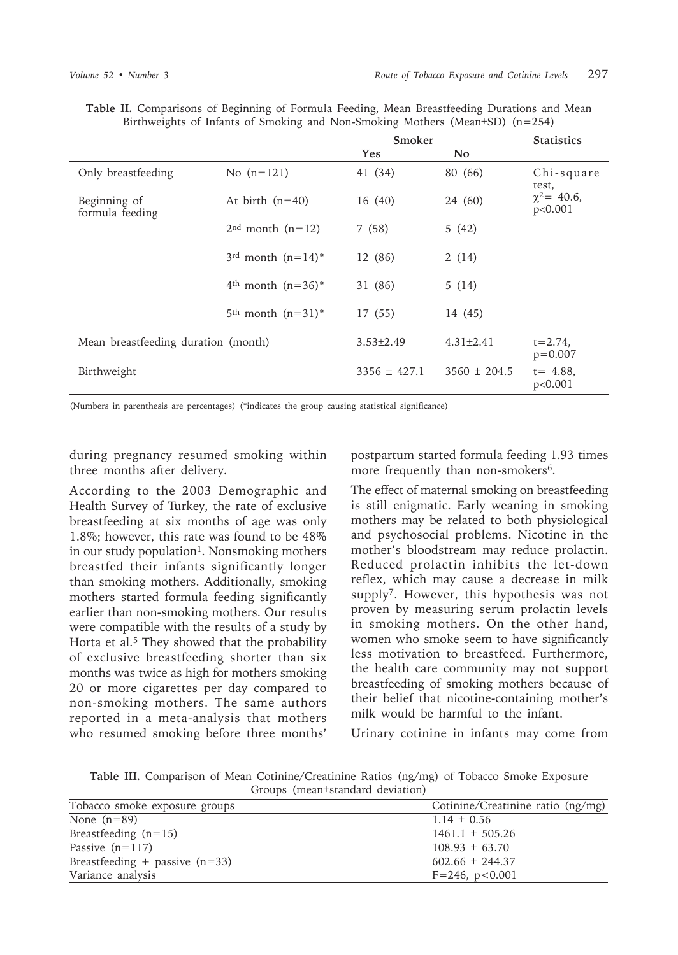|                                     |                           | Smoker           |                  | <b>Statistics</b>           |
|-------------------------------------|---------------------------|------------------|------------------|-----------------------------|
|                                     |                           | Yes              | No.              |                             |
| Only breastfeeding                  | No $(n=121)$              | 41 (34)          | 80 (66)          | Chi-square<br>test,         |
| Beginning of<br>formula feeding     | At birth $(n=40)$         | 16 (40)          | 24 (60)          | $\chi^2$ = 40.6,<br>p<0.001 |
|                                     | $2nd$ month $(n=12)$      | 7(58)            | 5(42)            |                             |
|                                     | $3^{rd}$ month $(n=14)^*$ | 12 (86)          | 2(14)            |                             |
|                                     | $4th$ month $(n=36)^*$    | 31 (86)          | 5(14)            |                             |
|                                     | $5th$ month $(n=31)^*$    | 17 (55)          | 14 (45)          |                             |
| Mean breastfeeding duration (month) |                           | $3.53 \pm 2.49$  | $4.31 \pm 2.41$  | $t = 2.74$<br>$p = 0.007$   |
| Birthweight                         |                           | $3356 \pm 427.1$ | $3560 \pm 204.5$ | $t = 4.88$ .<br>p<0.001     |

**Table II.** Comparisons of Beginning of Formula Feeding, Mean Breastfeeding Durations and Mean Birthweights of Infants of Smoking and Non-Smoking Mothers (Mean±SD) (n=254)

(Numbers in parenthesis are percentages) (\*indicates the group causing statistical significance)

during pregnancy resumed smoking within three months after delivery.

According to the 2003 Demographic and Health Survey of Turkey, the rate of exclusive breastfeeding at six months of age was only 1.8%; however, this rate was found to be 48% in our study population<sup>1</sup>. Nonsmoking mothers breastfed their infants significantly longer than smoking mothers. Additionally, smoking mothers started formula feeding significantly earlier than non-smoking mothers. Our results were compatible with the results of a study by Horta et al.<sup>5</sup> They showed that the probability of exclusive breastfeeding shorter than six months was twice as high for mothers smoking 20 or more cigarettes per day compared to non-smoking mothers. The same authors reported in a meta-analysis that mothers who resumed smoking before three months' postpartum started formula feeding 1.93 times more frequently than non-smokers<sup>6</sup>.

The effect of maternal smoking on breastfeeding is still enigmatic. Early weaning in smoking mothers may be related to both physiological and psychosocial problems. Nicotine in the mother's bloodstream may reduce prolactin. Reduced prolactin inhibits the let-down reflex, which may cause a decrease in milk supply7. However, this hypothesis was not proven by measuring serum prolactin levels in smoking mothers. On the other hand, women who smoke seem to have significantly less motivation to breastfeed. Furthermore, the health care community may not support breastfeeding of smoking mothers because of their belief that nicotine-containing mother's milk would be harmful to the infant.

Urinary cotinine in infants may come from

**Table III.** Comparison of Mean Cotinine/Creatinine Ratios (ng/mg) of Tobacco Smoke Exposure Groups (mean±standard deviation)

| Tobacco smoke exposure groups    | Cotinine/Creatinine ratio (ng/mg) |
|----------------------------------|-----------------------------------|
| None $(n=89)$                    | $1.14 \pm 0.56$                   |
| Breastfeeding $(n=15)$           | $1461.1 \pm 505.26$               |
| Passive $(n=117)$                | $108.93 \pm 63.70$                |
| Breastfeeding + passive $(n=33)$ | $602.66 \pm 244.37$               |
| Variance analysis                | $F = 246$ , $p < 0.001$           |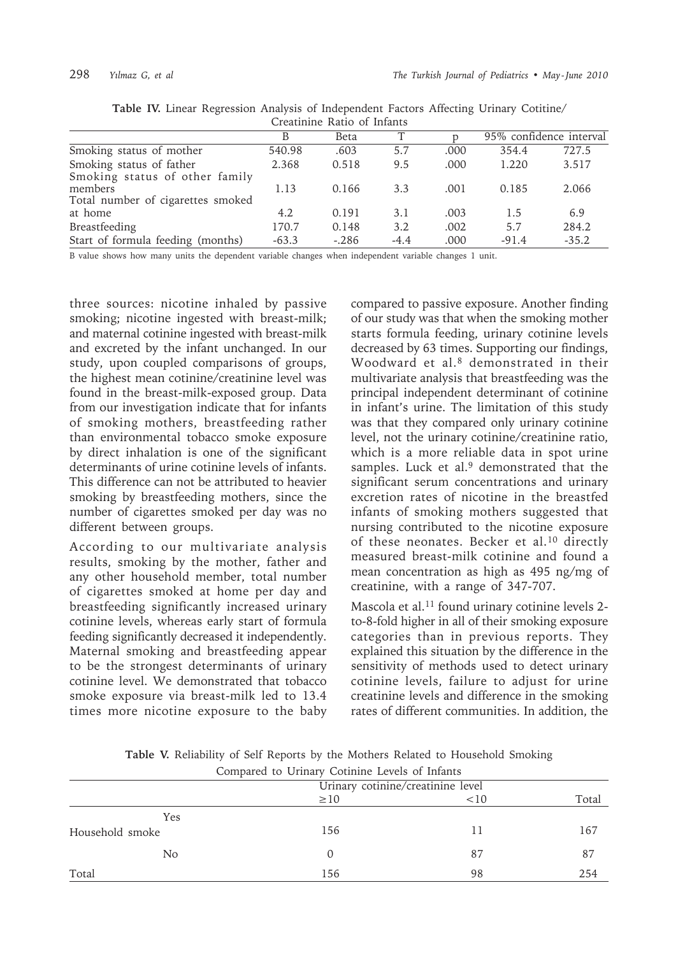|                                           |         | Creathmic Ratio of Imams |        |      |         |                         |
|-------------------------------------------|---------|--------------------------|--------|------|---------|-------------------------|
|                                           | B       | Beta                     |        |      |         | 95% confidence interval |
| Smoking status of mother                  | 540.98  | .603                     | 5.7    | .000 | 354.4   | 727.5                   |
| Smoking status of father                  | 2.368   | 0.518                    | 9.5    | .000 | 1.220   | 3.517                   |
| Smoking status of other family<br>members | 1.13    | 0.166                    | 3.3    | .001 | 0.185   | 2.066                   |
| Total number of cigarettes smoked         |         |                          |        |      |         |                         |
| at home                                   | 4.2     | 0.191                    | 3.1    | .003 | 1.5     | 6.9                     |
| Breastfeeding                             | 170.7   | 0.148                    | 3.2    | .002 | 5.7     | 284.2                   |
| Start of formula feeding (months)         | $-63.3$ | $-.286$                  | $-4.4$ | .000 | $-91.4$ | $-35.2$                 |

|  |  |  | Table IV. Linear Regression Analysis of Independent Factors Affecting Urinary Cotitine/ |  |  |  |
|--|--|--|-----------------------------------------------------------------------------------------|--|--|--|
|  |  |  | Croatining Datio of Infante                                                             |  |  |  |

B value shows how many units the dependent variable changes when independent variable changes 1 unit.

three sources: nicotine inhaled by passive smoking; nicotine ingested with breast-milk; and maternal cotinine ingested with breast-milk and excreted by the infant unchanged. In our study, upon coupled comparisons of groups, the highest mean cotinine/creatinine level was found in the breast-milk-exposed group. Data from our investigation indicate that for infants of smoking mothers, breastfeeding rather than environmental tobacco smoke exposure by direct inhalation is one of the significant determinants of urine cotinine levels of infants. This difference can not be attributed to heavier smoking by breastfeeding mothers, since the number of cigarettes smoked per day was no different between groups.

According to our multivariate analysis results, smoking by the mother, father and any other household member, total number of cigarettes smoked at home per day and breastfeeding significantly increased urinary cotinine levels, whereas early start of formula feeding significantly decreased it independently. Maternal smoking and breastfeeding appear to be the strongest determinants of urinary cotinine level. We demonstrated that tobacco smoke exposure via breast-milk led to 13.4 times more nicotine exposure to the baby

compared to passive exposure. Another finding of our study was that when the smoking mother starts formula feeding, urinary cotinine levels decreased by 63 times. Supporting our findings, Woodward et al.8 demonstrated in their multivariate analysis that breastfeeding was the principal independent determinant of cotinine in infant's urine. The limitation of this study was that they compared only urinary cotinine level, not the urinary cotinine/creatinine ratio, which is a more reliable data in spot urine samples. Luck et al.<sup>9</sup> demonstrated that the significant serum concentrations and urinary excretion rates of nicotine in the breastfed infants of smoking mothers suggested that nursing contributed to the nicotine exposure of these neonates. Becker et al.<sup>10</sup> directly measured breast-milk cotinine and found a mean concentration as high as 495 ng/mg of creatinine, with a range of 347-707.

Mascola et al.<sup>11</sup> found urinary cotinine levels 2to-8-fold higher in all of their smoking exposure categories than in previous reports. They explained this situation by the difference in the sensitivity of methods used to detect urinary cotinine levels, failure to adjust for urine creatinine levels and difference in the smoking rates of different communities. In addition, the

|  |  |  |  |                                                |  | Table V. Reliability of Self Reports by the Mothers Related to Household Smoking |  |
|--|--|--|--|------------------------------------------------|--|----------------------------------------------------------------------------------|--|
|  |  |  |  | Compared to Uringwy Cotining Lavale of Infanta |  |                                                                                  |  |

| Compared to Urinary Cotinine Levels of Infants |                                   |    |     |  |  |  |  |  |
|------------------------------------------------|-----------------------------------|----|-----|--|--|--|--|--|
|                                                | Urinary cotinine/creatinine level |    |     |  |  |  |  |  |
|                                                | $\geq 10$<br><10                  |    |     |  |  |  |  |  |
| Yes                                            |                                   |    |     |  |  |  |  |  |
| Household smoke                                | 156                               | 11 | 167 |  |  |  |  |  |
| N <sub>0</sub>                                 |                                   | 87 | 87  |  |  |  |  |  |
| Total                                          | 156                               | 98 | 254 |  |  |  |  |  |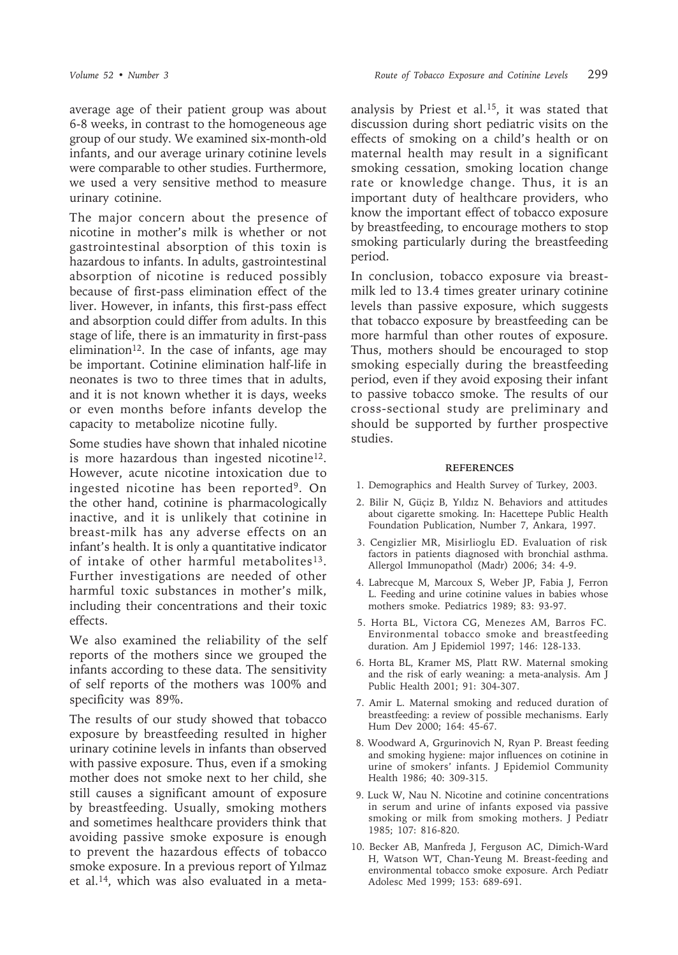average age of their patient group was about 6-8 weeks, in contrast to the homogeneous age group of our study. We examined six-month-old infants, and our average urinary cotinine levels were comparable to other studies. Furthermore, we used a very sensitive method to measure urinary cotinine.

The major concern about the presence of nicotine in mother's milk is whether or not gastrointestinal absorption of this toxin is hazardous to infants. In adults, gastrointestinal absorption of nicotine is reduced possibly because of first-pass elimination effect of the liver. However, in infants, this first-pass effect and absorption could differ from adults. In this stage of life, there is an immaturity in first-pass elimination<sup>12</sup>. In the case of infants, age may be important. Cotinine elimination half-life in neonates is two to three times that in adults, and it is not known whether it is days, weeks or even months before infants develop the capacity to metabolize nicotine fully.

Some studies have shown that inhaled nicotine is more hazardous than ingested nicotine<sup>12</sup>. However, acute nicotine intoxication due to ingested nicotine has been reported9. On the other hand, cotinine is pharmacologically inactive, and it is unlikely that cotinine in breast-milk has any adverse effects on an infant's health. It is only a quantitative indicator of intake of other harmful metabolites $13$ . Further investigations are needed of other harmful toxic substances in mother's milk, including their concentrations and their toxic effects.

We also examined the reliability of the self reports of the mothers since we grouped the infants according to these data. The sensitivity of self reports of the mothers was 100% and specificity was 89%.

The results of our study showed that tobacco exposure by breastfeeding resulted in higher urinary cotinine levels in infants than observed with passive exposure. Thus, even if a smoking mother does not smoke next to her child, she still causes a significant amount of exposure by breastfeeding. Usually, smoking mothers and sometimes healthcare providers think that avoiding passive smoke exposure is enough to prevent the hazardous effects of tobacco smoke exposure. In a previous report of Yılmaz et al.14, which was also evaluated in a metaanalysis by Priest et al.15, it was stated that discussion during short pediatric visits on the effects of smoking on a child's health or on maternal health may result in a significant smoking cessation, smoking location change rate or knowledge change. Thus, it is an important duty of healthcare providers, who know the important effect of tobacco exposure by breastfeeding, to encourage mothers to stop smoking particularly during the breastfeeding period.

In conclusion, tobacco exposure via breastmilk led to 13.4 times greater urinary cotinine levels than passive exposure, which suggests that tobacco exposure by breastfeeding can be more harmful than other routes of exposure. Thus, mothers should be encouraged to stop smoking especially during the breastfeeding period, even if they avoid exposing their infant to passive tobacco smoke. The results of our cross-sectional study are preliminary and should be supported by further prospective studies.

#### **REFERENCES**

- 1. Demographics and Health Survey of Turkey, 2003.
- 2. Bilir N, Güçiz B, Yıldız N. Behaviors and attitudes about cigarette smoking. In: Hacettepe Public Health Foundation Publication, Number 7, Ankara, 1997.
- 3. Cengizlier MR, Misirlioglu ED. Evaluation of risk factors in patients diagnosed with bronchial asthma. Allergol Immunopathol (Madr) 2006; 34: 4-9.
- 4. Labrecque M, Marcoux S, Weber JP, Fabia J, Ferron L. Feeding and urine cotinine values in babies whose mothers smoke. Pediatrics 1989; 83: 93-97.
- 5. Horta BL, Victora CG, Menezes AM, Barros FC. Environmental tobacco smoke and breastfeeding duration. Am J Epidemiol 1997; 146: 128-133.
- 6. Horta BL, Kramer MS, Platt RW. Maternal smoking and the risk of early weaning: a meta-analysis. Am J Public Health 2001; 91: 304-307.
- 7. Amir L. Maternal smoking and reduced duration of breastfeeding: a review of possible mechanisms. Early Hum Dev 2000; 164: 45-67.
- 8. Woodward A, Grgurinovich N, Ryan P. Breast feeding and smoking hygiene: major influences on cotinine in urine of smokers' infants. J Epidemiol Community Health 1986; 40: 309-315.
- 9. Luck W, Nau N. Nicotine and cotinine concentrations in serum and urine of infants exposed via passive smoking or milk from smoking mothers. J Pediatr 1985; 107: 816-820.
- 10. Becker AB, Manfreda J, Ferguson AC, Dimich-Ward H, Watson WT, Chan-Yeung M. Breast-feeding and environmental tobacco smoke exposure. Arch Pediatr Adolesc Med 1999; 153: 689-691.